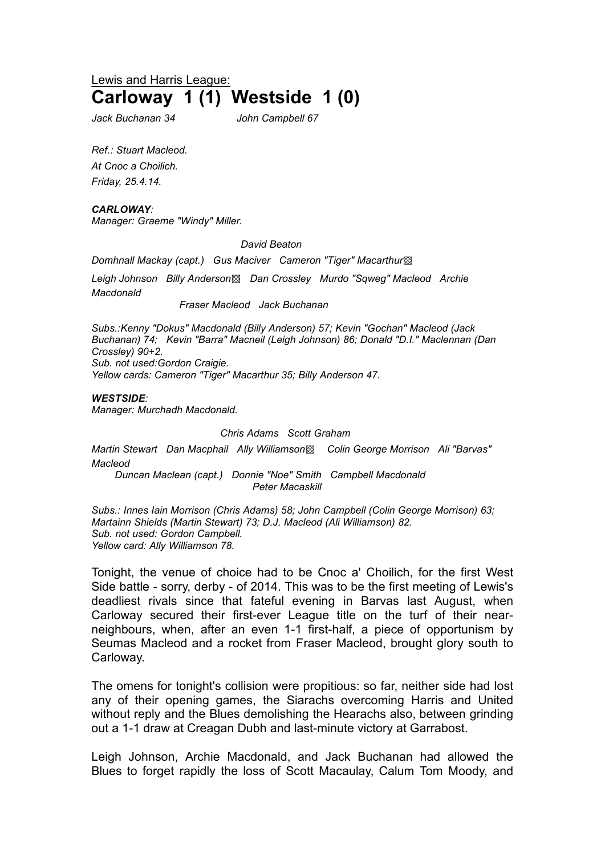# Lewis and Harris League: **Carloway 1 (1) Westside 1 (0)**

*Jack Buchanan 34 John Campbell 67*

*Ref.: Stuart Macleod. At Cnoc a Choilich. Friday, 25.4.14.*

#### *CARLOWAY:*

*Manager: Graeme "Windy" Miller.*

*David Beaton*

*Domhnall Mackay (capt.) Gus Maciver Cameron "Tiger" Macarthur*▩

*Leigh Johnson Billy Anderson*▩ *Dan Crossley Murdo "Sqweg" Macleod Archie Macdonald*

*Fraser Macleod Jack Buchanan*

*Subs.:Kenny "Dokus" Macdonald (Billy Anderson) 57; Kevin "Gochan" Macleod (Jack Buchanan) 74; Kevin "Barra" Macneil (Leigh Johnson) 86; Donald "D.I." Maclennan (Dan Crossley) 90+2. Sub. not used:Gordon Craigie.*

*Yellow cards: Cameron "Tiger" Macarthur 35; Billy Anderson 47.*

*WESTSIDE:*

*Manager: Murchadh Macdonald.*

*Chris Adams Scott Graham*

*Martin Stewart Dan Macphail Ally Williamson*▩ *Colin George Morrison Ali "Barvas" Macleod*

*Duncan Maclean (capt.) Donnie "Noe" Smith Campbell Macdonald Peter Macaskill*

*Subs.: Innes Iain Morrison (Chris Adams) 58; John Campbell (Colin George Morrison) 63; Martainn Shields (Martin Stewart) 73; D.J. Macleod (Ali Williamson) 82. Sub. not used: Gordon Campbell. Yellow card: Ally Williamson 78.* 

Tonight, the venue of choice had to be Cnoc a' Choilich, for the first West Side battle - sorry, derby - of 2014. This was to be the first meeting of Lewis's deadliest rivals since that fateful evening in Barvas last August, when Carloway secured their first-ever League title on the turf of their nearneighbours, when, after an even 1-1 first-half, a piece of opportunism by Seumas Macleod and a rocket from Fraser Macleod, brought glory south to Carloway.

The omens for tonight's collision were propitious: so far, neither side had lost any of their opening games, the Siarachs overcoming Harris and United without reply and the Blues demolishing the Hearachs also, between grinding out a 1-1 draw at Creagan Dubh and last-minute victory at Garrabost.

Leigh Johnson, Archie Macdonald, and Jack Buchanan had allowed the Blues to forget rapidly the loss of Scott Macaulay, Calum Tom Moody, and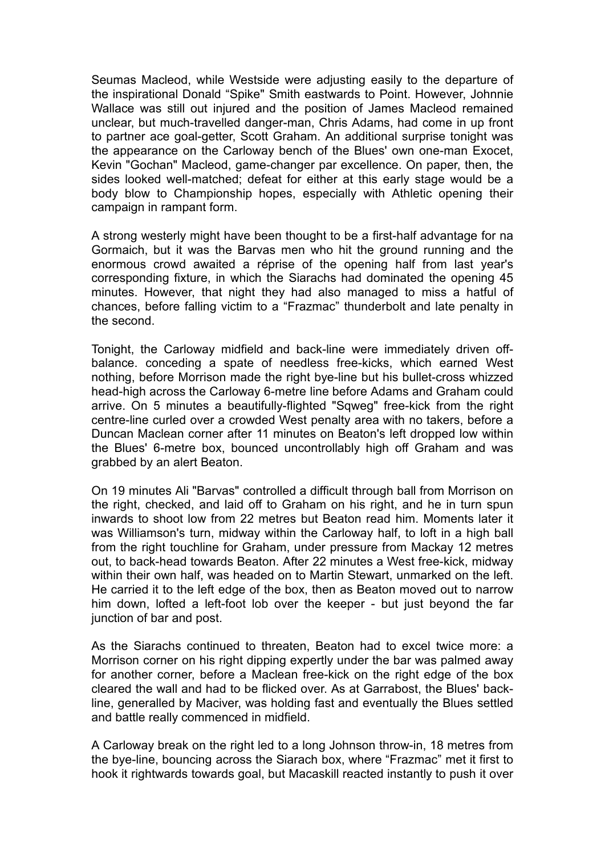Seumas Macleod, while Westside were adjusting easily to the departure of the inspirational Donald "Spike" Smith eastwards to Point. However, Johnnie Wallace was still out injured and the position of James Macleod remained unclear, but much-travelled danger-man, Chris Adams, had come in up front to partner ace goal-getter, Scott Graham. An additional surprise tonight was the appearance on the Carloway bench of the Blues' own one-man Exocet, Kevin "Gochan" Macleod, game-changer par excellence. On paper, then, the sides looked well-matched; defeat for either at this early stage would be a body blow to Championship hopes, especially with Athletic opening their campaign in rampant form.

A strong westerly might have been thought to be a first-half advantage for na Gormaich, but it was the Barvas men who hit the ground running and the enormous crowd awaited a réprise of the opening half from last year's corresponding fixture, in which the Siarachs had dominated the opening 45 minutes. However, that night they had also managed to miss a hatful of chances, before falling victim to a "Frazmac" thunderbolt and late penalty in the second.

Tonight, the Carloway midfield and back-line were immediately driven offbalance. conceding a spate of needless free-kicks, which earned West nothing, before Morrison made the right bye-line but his bullet-cross whizzed head-high across the Carloway 6-metre line before Adams and Graham could arrive. On 5 minutes a beautifully-flighted "Sqweg" free-kick from the right centre-line curled over a crowded West penalty area with no takers, before a Duncan Maclean corner after 11 minutes on Beaton's left dropped low within the Blues' 6-metre box, bounced uncontrollably high off Graham and was grabbed by an alert Beaton.

On 19 minutes Ali "Barvas" controlled a difficult through ball from Morrison on the right, checked, and laid off to Graham on his right, and he in turn spun inwards to shoot low from 22 metres but Beaton read him. Moments later it was Williamson's turn, midway within the Carloway half, to loft in a high ball from the right touchline for Graham, under pressure from Mackay 12 metres out, to back-head towards Beaton. After 22 minutes a West free-kick, midway within their own half, was headed on to Martin Stewart, unmarked on the left. He carried it to the left edge of the box, then as Beaton moved out to narrow him down, lofted a left-foot lob over the keeper - but just beyond the far junction of bar and post.

As the Siarachs continued to threaten, Beaton had to excel twice more: a Morrison corner on his right dipping expertly under the bar was palmed away for another corner, before a Maclean free-kick on the right edge of the box cleared the wall and had to be flicked over. As at Garrabost, the Blues' backline, generalled by Maciver, was holding fast and eventually the Blues settled and battle really commenced in midfield.

A Carloway break on the right led to a long Johnson throw-in, 18 metres from the bye-line, bouncing across the Siarach box, where "Frazmac" met it first to hook it rightwards towards goal, but Macaskill reacted instantly to push it over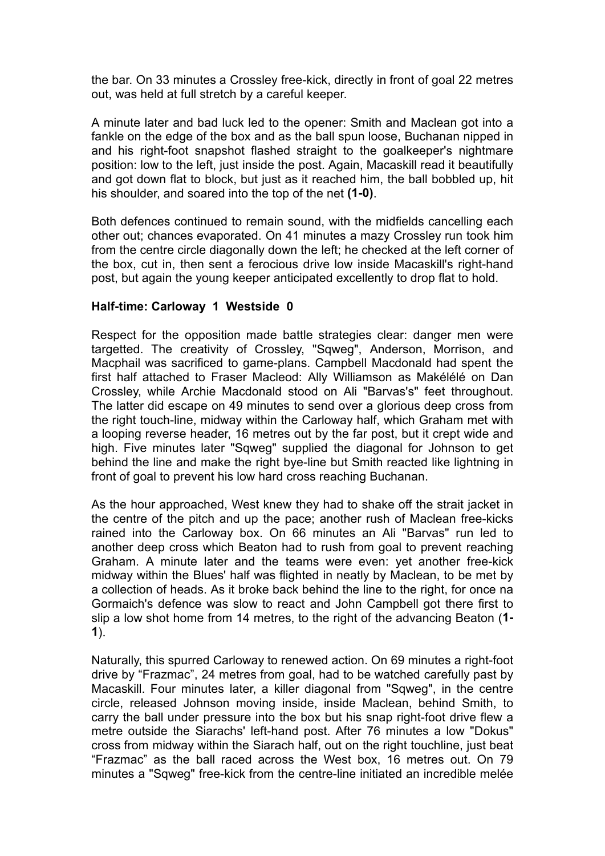the bar. On 33 minutes a Crossley free-kick, directly in front of goal 22 metres out, was held at full stretch by a careful keeper.

A minute later and bad luck led to the opener: Smith and Maclean got into a fankle on the edge of the box and as the ball spun loose, Buchanan nipped in and his right-foot snapshot flashed straight to the goalkeeper's nightmare position: low to the left, just inside the post. Again, Macaskill read it beautifully and got down flat to block, but just as it reached him, the ball bobbled up, hit his shoulder, and soared into the top of the net **(1-0)**.

Both defences continued to remain sound, with the midfields cancelling each other out; chances evaporated. On 41 minutes a mazy Crossley run took him from the centre circle diagonally down the left; he checked at the left corner of the box, cut in, then sent a ferocious drive low inside Macaskill's right-hand post, but again the young keeper anticipated excellently to drop flat to hold.

## **Half-time: Carloway 1 Westside 0**

Respect for the opposition made battle strategies clear: danger men were targetted. The creativity of Crossley, "Sqweg", Anderson, Morrison, and Macphail was sacrificed to game-plans. Campbell Macdonald had spent the first half attached to Fraser Macleod: Ally Williamson as Makélélé on Dan Crossley, while Archie Macdonald stood on Ali "Barvas's" feet throughout. The latter did escape on 49 minutes to send over a glorious deep cross from the right touch-line, midway within the Carloway half, which Graham met with a looping reverse header, 16 metres out by the far post, but it crept wide and high. Five minutes later "Sqweg" supplied the diagonal for Johnson to get behind the line and make the right bye-line but Smith reacted like lightning in front of goal to prevent his low hard cross reaching Buchanan.

As the hour approached, West knew they had to shake off the strait jacket in the centre of the pitch and up the pace; another rush of Maclean free-kicks rained into the Carloway box. On 66 minutes an Ali "Barvas" run led to another deep cross which Beaton had to rush from goal to prevent reaching Graham. A minute later and the teams were even: yet another free-kick midway within the Blues' half was flighted in neatly by Maclean, to be met by a collection of heads. As it broke back behind the line to the right, for once na Gormaich's defence was slow to react and John Campbell got there first to slip a low shot home from 14 metres, to the right of the advancing Beaton (**1- 1**).

Naturally, this spurred Carloway to renewed action. On 69 minutes a right-foot drive by "Frazmac", 24 metres from goal, had to be watched carefully past by Macaskill. Four minutes later, a killer diagonal from "Sqweg", in the centre circle, released Johnson moving inside, inside Maclean, behind Smith, to carry the ball under pressure into the box but his snap right-foot drive flew a metre outside the Siarachs' left-hand post. After 76 minutes a low "Dokus" cross from midway within the Siarach half, out on the right touchline, just beat "Frazmac" as the ball raced across the West box, 16 metres out. On 79 minutes a "Sqweg" free-kick from the centre-line initiated an incredible melée